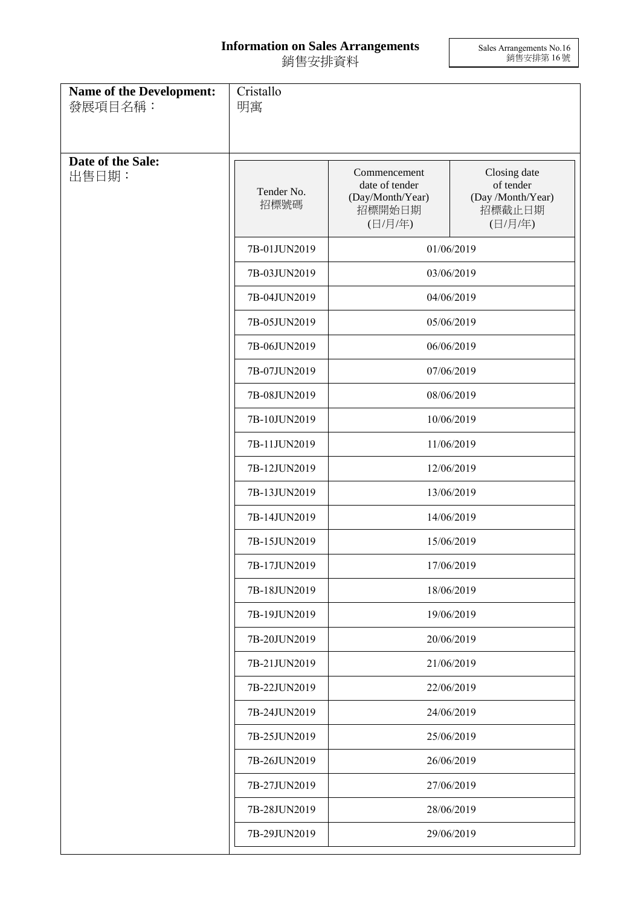## **Information on Sales Arrangements** 銷售安排資料

Sales Arrangements No.16 銷售安排第 16 號

| Name of the Development:<br>發展項目名稱: | Cristallo<br>明寓    |                                                                                                              |                                                                     |  |
|-------------------------------------|--------------------|--------------------------------------------------------------------------------------------------------------|---------------------------------------------------------------------|--|
| Date of the Sale:<br>出售日期:          | Tender No.<br>招標號碼 | Commencement<br>date of tender<br>(Day/Month/Year)<br>招標開始日期<br>(日/月/年)                                      | Closing date<br>of tender<br>(Day /Month/Year)<br>招標截止日期<br>(日/月/年) |  |
|                                     | 7B-01JUN2019       |                                                                                                              | 01/06/2019                                                          |  |
|                                     | 7B-03JUN2019       |                                                                                                              | 03/06/2019                                                          |  |
|                                     | 7B-04JUN2019       |                                                                                                              | 04/06/2019                                                          |  |
|                                     | 7B-05JUN2019       |                                                                                                              | 05/06/2019                                                          |  |
|                                     | 7B-06JUN2019       |                                                                                                              | 06/06/2019                                                          |  |
|                                     | 7B-07JUN2019       | 07/06/2019                                                                                                   |                                                                     |  |
|                                     | 7B-08JUN2019       | 08/06/2019                                                                                                   |                                                                     |  |
|                                     | 7B-10JUN2019       | 10/06/2019                                                                                                   |                                                                     |  |
|                                     | 7B-11JUN2019       |                                                                                                              | 11/06/2019                                                          |  |
|                                     | 7B-12JUN2019       | 12/06/2019<br>13/06/2019<br>14/06/2019<br>15/06/2019<br>17/06/2019<br>18/06/2019<br>19/06/2019<br>20/06/2019 |                                                                     |  |
|                                     | 7B-13JUN2019       |                                                                                                              |                                                                     |  |
|                                     | 7B-14JUN2019       |                                                                                                              |                                                                     |  |
|                                     | 7B-15JUN2019       |                                                                                                              |                                                                     |  |
|                                     | 7B-17JUN2019       |                                                                                                              |                                                                     |  |
|                                     | 7B-18JUN2019       |                                                                                                              |                                                                     |  |
|                                     | 7B-19JUN2019       |                                                                                                              |                                                                     |  |
|                                     | 7B-20JUN2019       |                                                                                                              |                                                                     |  |
|                                     | 7B-21JUN2019       | 21/06/2019                                                                                                   |                                                                     |  |
|                                     | 7B-22JUN2019       | 22/06/2019                                                                                                   |                                                                     |  |
|                                     | 7B-24JUN2019       | 24/06/2019                                                                                                   |                                                                     |  |
|                                     | 7B-25JUN2019       | 25/06/2019                                                                                                   |                                                                     |  |
|                                     | 7B-26JUN2019       | 26/06/2019                                                                                                   |                                                                     |  |
|                                     | 7B-27JUN2019       | 27/06/2019                                                                                                   |                                                                     |  |
|                                     | 7B-28JUN2019       | 28/06/2019                                                                                                   |                                                                     |  |
|                                     | 7B-29JUN2019       | 29/06/2019                                                                                                   |                                                                     |  |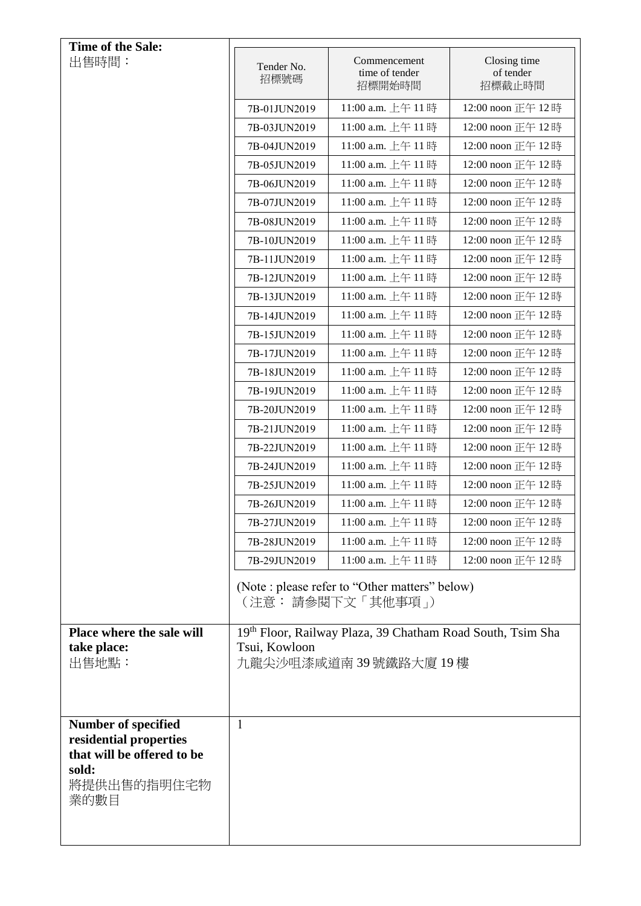| Time of the Sale:                                                                           |                                          |                                                                        |                                     |
|---------------------------------------------------------------------------------------------|------------------------------------------|------------------------------------------------------------------------|-------------------------------------|
| 出售時間:                                                                                       | Tender No.<br>招標號碼                       | Commencement<br>time of tender<br>招標開始時間                               | Closing time<br>of tender<br>招標截止時間 |
|                                                                                             | 7B-01JUN2019                             | 11:00 a.m. 上午 11時                                                      | 12:00 noon 正午 12時                   |
|                                                                                             | 7B-03JUN2019                             | 11:00 a.m. 上午 11時                                                      | 12:00 noon 正午 12時                   |
|                                                                                             | 7B-04JUN2019                             | 11:00 a.m. 上午 11時                                                      | 12:00 noon 正午 12時                   |
|                                                                                             | 7B-05JUN2019                             | 11:00 a.m. 上午 11時                                                      | 12:00 noon 正午 12時                   |
|                                                                                             | 7B-06JUN2019                             | 11:00 a.m. 上午 11時                                                      | 12:00 noon 正午 12時                   |
|                                                                                             | 7B-07JUN2019                             | 11:00 a.m. 上午11時                                                       | 12:00 noon 正午 12時                   |
|                                                                                             | 7B-08JUN2019                             | 11:00 a.m. 上午 11時                                                      | 12:00 noon 正午 12時                   |
|                                                                                             | 7B-10JUN2019                             | 11:00 a.m. 上午 11時                                                      | 12:00 noon 正午 12時                   |
|                                                                                             | 7B-11JUN2019                             | 11:00 a.m. 上午 11時                                                      | 12:00 noon 正午 12時                   |
|                                                                                             | 7B-12JUN2019                             | 11:00 a.m. 上午 11時                                                      | 12:00 noon 正午 12時                   |
|                                                                                             | 7B-13JUN2019                             | 11:00 a.m. 上午 11時                                                      | 12:00 noon 正午 12時                   |
|                                                                                             | 7B-14JUN2019                             | 11:00 a.m. 上午 11時                                                      | 12:00 noon 正午 12時                   |
|                                                                                             | 7B-15JUN2019                             | 11:00 a.m. 上午 11時                                                      | 12:00 noon 正午 12時                   |
|                                                                                             | 7B-17JUN2019                             | 11:00 a.m. 上午 11時                                                      | 12:00 noon 正午 12時                   |
|                                                                                             | 7B-18JUN2019                             | 11:00 a.m. 上午 11時                                                      | 12:00 noon 正午 12時                   |
|                                                                                             | 7B-19JUN2019                             | 11:00 a.m. 上午 11時                                                      | 12:00 noon 正午 12時                   |
|                                                                                             | 7B-20JUN2019                             | 11:00 a.m. 上午 11時                                                      | 12:00 noon 正午 12時                   |
|                                                                                             | 7B-21JUN2019                             | 11:00 a.m. 上午11時                                                       | 12:00 noon 正午 12時                   |
|                                                                                             | 7B-22JUN2019                             | 11:00 a.m. 上午 11時                                                      | 12:00 noon 正午 12時                   |
|                                                                                             | 7B-24JUN2019                             | 11:00 a.m. 上午 11時                                                      | 12:00 noon 正午 12時                   |
|                                                                                             | 7B-25JUN2019                             | 11:00 a.m. 上午 11時                                                      | 12:00 noon 正午 12時                   |
|                                                                                             | 7B-26JUN2019                             | 11:00 a.m. 上午 11時                                                      | 12:00 noon 正午 12時                   |
|                                                                                             | 7B-27JUN2019                             | 11:00 a.m. 上午 11 時                                                     | 12:00 noon 正午 12 時                  |
|                                                                                             | 7B-28JUN2019                             | 11:00 a.m. 上午11時                                                       | 12:00 noon 正午 12時                   |
|                                                                                             | 7B-29JUN2019                             | 11:00 a.m. 上午 11時                                                      | 12:00 noon 正午 12時                   |
|                                                                                             |                                          | (Note : please refer to "Other matters" below)<br>(注意: 請參閱下文「其他事項」)    |                                     |
| Place where the sale will                                                                   |                                          | 19 <sup>th</sup> Floor, Railway Plaza, 39 Chatham Road South, Tsim Sha |                                     |
| take place:<br>出售地點:                                                                        | Tsui, Kowloon<br>九龍尖沙咀漆咸道南 39 號鐵路大廈 19 樓 |                                                                        |                                     |
|                                                                                             |                                          |                                                                        |                                     |
|                                                                                             |                                          |                                                                        |                                     |
|                                                                                             |                                          |                                                                        |                                     |
| <b>Number of specified</b><br>residential properties<br>that will be offered to be<br>sold: | $\mathbf{1}$                             |                                                                        |                                     |
| 將提供出售的指明住宅物<br>業的數目                                                                         |                                          |                                                                        |                                     |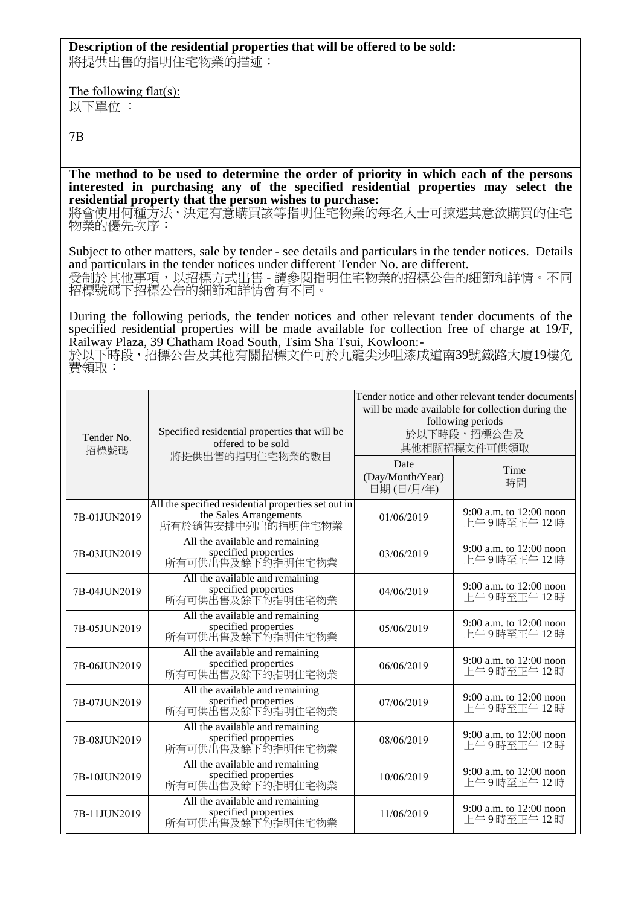## **Description of the residential properties that will be offered to be sold:**

將提供出售的指明住宅物業的描述:

The following flat(s): 以下單位 :

7B

**The method to be used to determine the order of priority in which each of the persons interested in purchasing any of the specified residential properties may select the residential property that the person wishes to purchase:** 

将會使用何種方法,決定有意購買該等指明住宅物業的每名人士可揀選其意欲購買的住宅 物業的優先次序:

Subject to other matters, sale by tender - see details and particulars in the tender notices. Details and particulars in the tender notices under different Tender No. are different. 受制於其他事項,以招標方式出售 - 請參閱指明住宅物業的招標公告的細節和詳情。不同 招標號碼下招標公告的細節和詳情會有不同。

During the following periods, the tender notices and other relevant tender documents of the specified residential properties will be made available for collection free of charge at 19/F, Railway Plaza, 39 Chatham Road South, Tsim Sha Tsui, Kowloon:-

於以下時段,招標公告及其他有關招標文件可於九龍尖沙咀漆咸道南39號鐵路大廈19樓免 費領取:

| Tender No.<br>招標號碼 | Specified residential properties that will be<br>offered to be sold                                | Tender notice and other relevant tender documents<br>will be made available for collection during the<br>following periods<br>於以下時段,招標公告及<br>其他相關招標文件可供領取 |                                       |
|--------------------|----------------------------------------------------------------------------------------------------|-----------------------------------------------------------------------------------------------------------------------------------------------------------|---------------------------------------|
|                    | 將提供出售的指明住宅物業的數目                                                                                    | Date<br>(Day/Month/Year)<br>日期(日/月/年)                                                                                                                     | Time<br>時間                            |
| 7B-01JUN2019       | All the specified residential properties set out in<br>the Sales Arrangements<br>所有於銷售安排中列出的指明住宅物業 | 01/06/2019                                                                                                                                                | 9:00 a.m. to 12:00 noon<br>上午9時至正午12時 |
| 7B-03JUN2019       | All the available and remaining<br>specified properties<br>所有可供出售及餘下的指明住宅物業                        | 03/06/2019                                                                                                                                                | 9:00 a.m. to 12:00 noon<br>上午9時至正午12時 |
| 7B-04JUN2019       | All the available and remaining<br>specified properties<br>所有可供出售及餘下的指明住宅物業                        | 04/06/2019                                                                                                                                                | 9:00 a.m. to 12:00 noon<br>上午9時至正午12時 |
| 7B-05JUN2019       | All the available and remaining<br>specified properties<br>所有可供出售及餘下的指明住宅物業                        | 05/06/2019                                                                                                                                                | 9:00 a.m. to 12:00 noon<br>上午9時至正午12時 |
| 7B-06JUN2019       | All the available and remaining<br>specified properties<br>所有可供出售及餘下的指明住宅物業                        | 06/06/2019                                                                                                                                                | 9:00 a.m. to 12:00 noon<br>上午9時至正午12時 |
| 7B-07JUN2019       | All the available and remaining<br>specified properties<br>所有可供出售及餘下的指明住宅物業                        | 07/06/2019                                                                                                                                                | 9:00 a.m. to 12:00 noon<br>上午9時至正午12時 |
| 7B-08JUN2019       | All the available and remaining<br>specified properties<br>所有可供出售及餘下的指明住宅物業                        | 08/06/2019                                                                                                                                                | 9:00 a.m. to 12:00 noon<br>上午9時至正午12時 |
| 7B-10JUN2019       | All the available and remaining<br>specified properties<br>所有可供出售及餘下的指明住宅物業                        | 10/06/2019                                                                                                                                                | 9:00 a.m. to 12:00 noon<br>上午9時至正午12時 |
| 7B-11JUN2019       | All the available and remaining<br>specified properties<br>所有可供出售及餘下的指明住宅物業                        | 11/06/2019                                                                                                                                                | 9:00 a.m. to 12:00 noon<br>上午9時至正午12時 |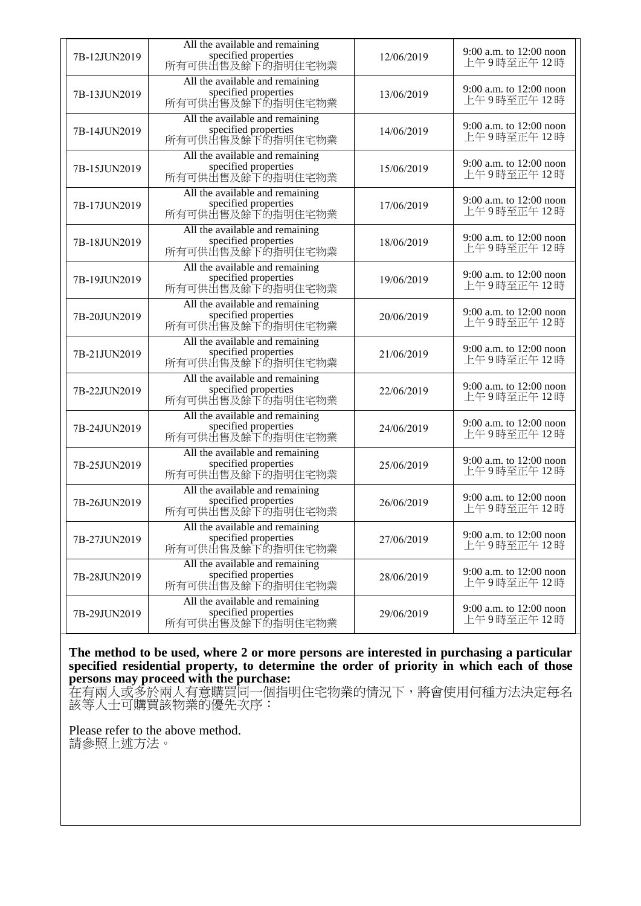| 7B-12JUN2019 | All the available and remaining<br>specified properties<br>所有可供出售及餘下的指明住宅物業 | 12/06/2019 | 9:00 a.m. to $12:00$ noon<br>上午9時至正午12時 |
|--------------|-----------------------------------------------------------------------------|------------|-----------------------------------------|
| 7B-13JUN2019 | All the available and remaining<br>specified properties<br>所有可供出售及餘下的指明住宅物業 | 13/06/2019 | 9:00 a.m. to 12:00 noon<br>上午9時至正午12時   |
| 7B-14JUN2019 | All the available and remaining<br>specified properties<br>所有可供出售及餘下的指明住宅物業 | 14/06/2019 | 9:00 a.m. to 12:00 noon<br>上午9時至正午12時   |
| 7B-15JUN2019 | All the available and remaining<br>specified properties<br>所有可供出售及餘下的指明住宅物業 | 15/06/2019 | 9:00 a.m. to 12:00 noon<br>上午9時至正午12時   |
| 7B-17JUN2019 | All the available and remaining<br>specified properties<br>所有可供出售及餘下的指明住宅物業 | 17/06/2019 | 9:00 a.m. to 12:00 noon<br>上午9時至正午12時   |
| 7B-18JUN2019 | All the available and remaining<br>specified properties<br>所有可供出售及餘下的指明住宅物業 | 18/06/2019 | 9:00 a.m. to 12:00 noon<br>上午9時至正午12時   |
| 7B-19JUN2019 | All the available and remaining<br>specified properties<br>所有可供出售及餘下的指明住宅物業 | 19/06/2019 | 9:00 a.m. to 12:00 noon<br>上午9時至正午12時   |
| 7B-20JUN2019 | All the available and remaining<br>specified properties<br>所有可供出售及餘下的指明住宅物業 | 20/06/2019 | 9:00 a.m. to 12:00 noon<br>上午9時至正午12時   |
| 7B-21JUN2019 | All the available and remaining<br>specified properties<br>所有可供出售及餘下的指明住宅物業 | 21/06/2019 | 9:00 a.m. to 12:00 noon<br>上午9時至正午12時   |
| 7B-22JUN2019 | All the available and remaining<br>specified properties<br>所有可供出售及餘下的指明住宅物業 | 22/06/2019 | 9:00 a.m. to 12:00 noon<br>上午9時至正午12時   |
| 7B-24JUN2019 | All the available and remaining<br>specified properties<br>所有可供出售及餘下的指明住宅物業 | 24/06/2019 | 9:00 a.m. to 12:00 noon<br>上午9時至正午12時   |
| 7B-25JUN2019 | All the available and remaining<br>specified properties<br>所有可供出售及餘下的指明住宅物業 | 25/06/2019 | 9:00 a.m. to 12:00 noon<br>上午9時至正午12時   |
| 7B-26JUN2019 | All the available and remaining<br>specified properties<br>所有可供出售及餘下的指明住宅物業 | 26/06/2019 | 9:00 a.m. to 12:00 noon<br>上午9時至正午12時   |
| 7B-27JUN2019 | All the available and remaining<br>specified properties<br>所有可供出售及餘下的指明住宅物業 | 27/06/2019 | 9:00 a.m. to 12:00 noon<br>上午9時至正午12時   |
| 7B-28JUN2019 | All the available and remaining<br>specified properties<br>所有可供出售及餘下的指明住宅物業 | 28/06/2019 | 9:00 a.m. to 12:00 noon<br>上午9時至正午12時   |
| 7B-29JUN2019 | All the available and remaining<br>specified properties<br>所有可供出售及餘下的指明住宅物業 | 29/06/2019 | 9:00 a.m. to 12:00 noon<br>上午9時至正午12時   |

**The method to be used, where 2 or more persons are interested in purchasing a particular specified residential property, to determine the order of priority in which each of those persons may proceed with the purchase:**

在有兩人或多於兩人有意購買同一個指明住宅物業的情況下,將會使用何種方法決定每名 該等人士可購買該物業的優先次序:

Please refer to the above method. 請參照上述方法。